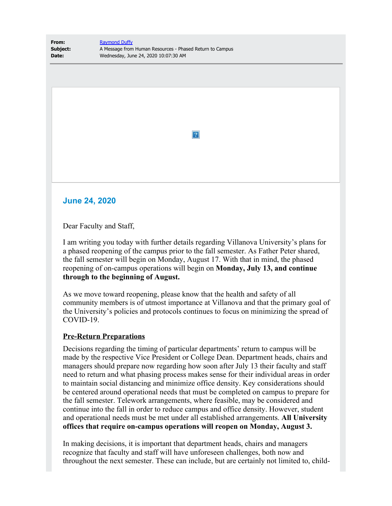| From:    | <b>Raymond Duffy</b>                                     |
|----------|----------------------------------------------------------|
| Subject: | A Message from Human Resources - Phased Return to Campus |
| Date:    | Wednesday, June 24, 2020 10:07:30 AM                     |

 $\overline{P}$ 

## **June 24, 2020**

Dear Faculty and Staff,

I am writing you today with further details regarding Villanova University's plans for a phased reopening of the campus prior to the fall semester. As Father Peter shared, the fall semester will begin on Monday, August 17. With that in mind, the phased reopening of on-campus operations will begin on **Monday, July 13, and continue through to the beginning of August.**

As we move toward reopening, please know that the health and safety of all community members is of utmost importance at Villanova and that the primary goal of the University's policies and protocols continues to focus on minimizing the spread of COVID-19.

## **Pre-Return Preparations**

Decisions regarding the timing of particular departments' return to campus will be made by the respective Vice President or College Dean. Department heads, chairs and managers should prepare now regarding how soon after July 13 their faculty and staff need to return and what phasing process makes sense for their individual areas in order to maintain social distancing and minimize office density. Key considerations should be centered around operational needs that must be completed on campus to prepare for the fall semester. Telework arrangements, where feasible, may be considered and continue into the fall in order to reduce campus and office density. However, student and operational needs must be met under all established arrangements. **All University offices that require on-campus operations will reopen on Monday, August 3.**

In making decisions, it is important that department heads, chairs and managers recognize that faculty and staff will have unforeseen challenges, both now and throughout the next semester. These can include, but are certainly not limited to, child